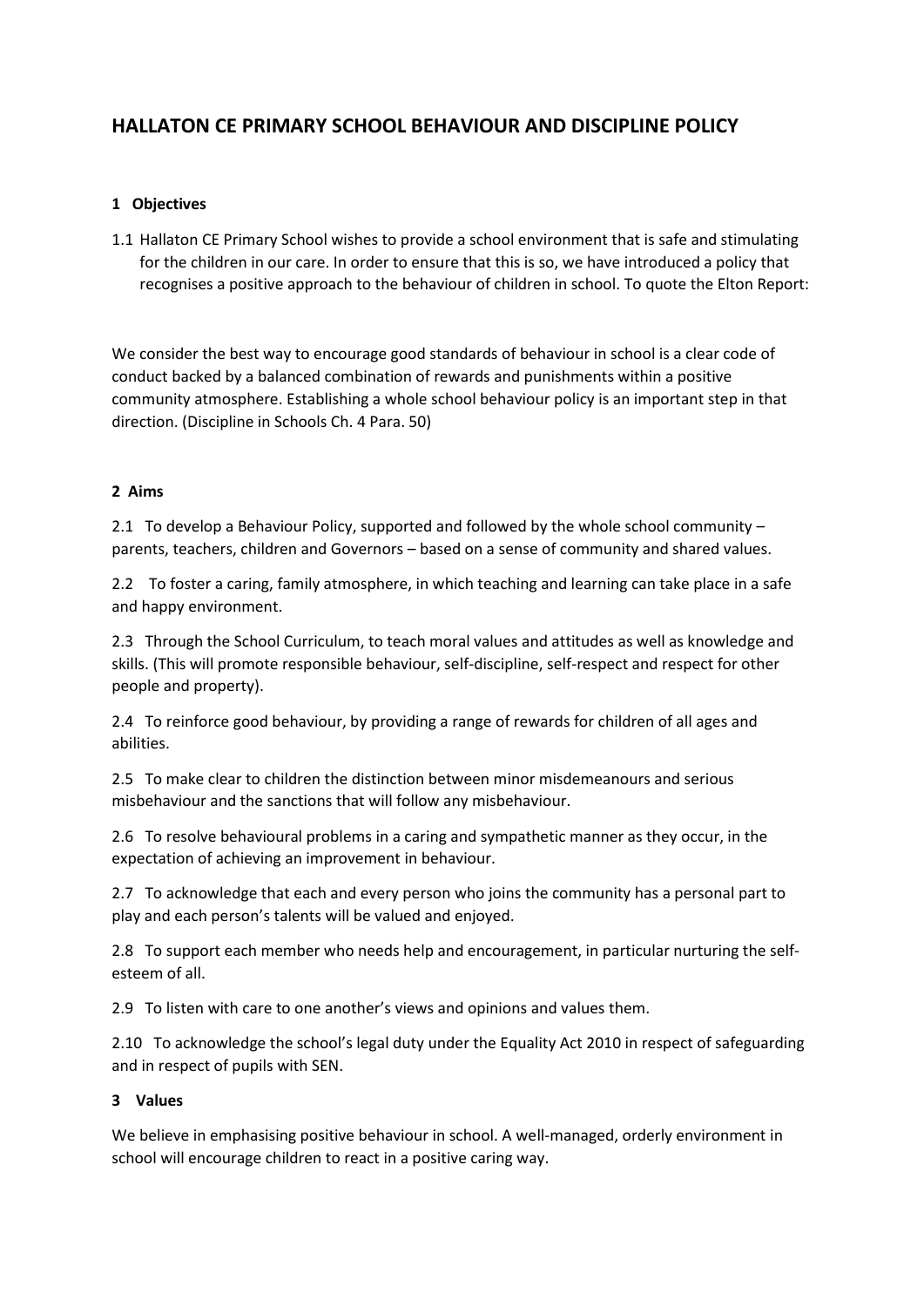# **HALLATON CE PRIMARY SCHOOL BEHAVIOUR AND DISCIPLINE POLICY**

# **1 Objectives**

1.1 Hallaton CE Primary School wishes to provide a school environment that is safe and stimulating for the children in our care. In order to ensure that this is so, we have introduced a policy that recognises a positive approach to the behaviour of children in school. To quote the Elton Report:

We consider the best way to encourage good standards of behaviour in school is a clear code of conduct backed by a balanced combination of rewards and punishments within a positive community atmosphere. Establishing a whole school behaviour policy is an important step in that direction. (Discipline in Schools Ch. 4 Para. 50)

#### **2 Aims**

2.1 To develop a Behaviour Policy, supported and followed by the whole school community – parents, teachers, children and Governors – based on a sense of community and shared values.

2.2 To foster a caring, family atmosphere, in which teaching and learning can take place in a safe and happy environment.

2.3 Through the School Curriculum, to teach moral values and attitudes as well as knowledge and skills. (This will promote responsible behaviour, self-discipline, self-respect and respect for other people and property).

2.4 To reinforce good behaviour, by providing a range of rewards for children of all ages and abilities.

2.5 To make clear to children the distinction between minor misdemeanours and serious misbehaviour and the sanctions that will follow any misbehaviour.

2.6 To resolve behavioural problems in a caring and sympathetic manner as they occur, in the expectation of achieving an improvement in behaviour.

2.7 To acknowledge that each and every person who joins the community has a personal part to play and each person's talents will be valued and enjoyed.

2.8 To support each member who needs help and encouragement, in particular nurturing the selfesteem of all.

2.9 To listen with care to one another's views and opinions and values them.

2.10 To acknowledge the school's legal duty under the Equality Act 2010 in respect of safeguarding and in respect of pupils with SEN.

#### **3 Values**

We believe in emphasising positive behaviour in school. A well-managed, orderly environment in school will encourage children to react in a positive caring way.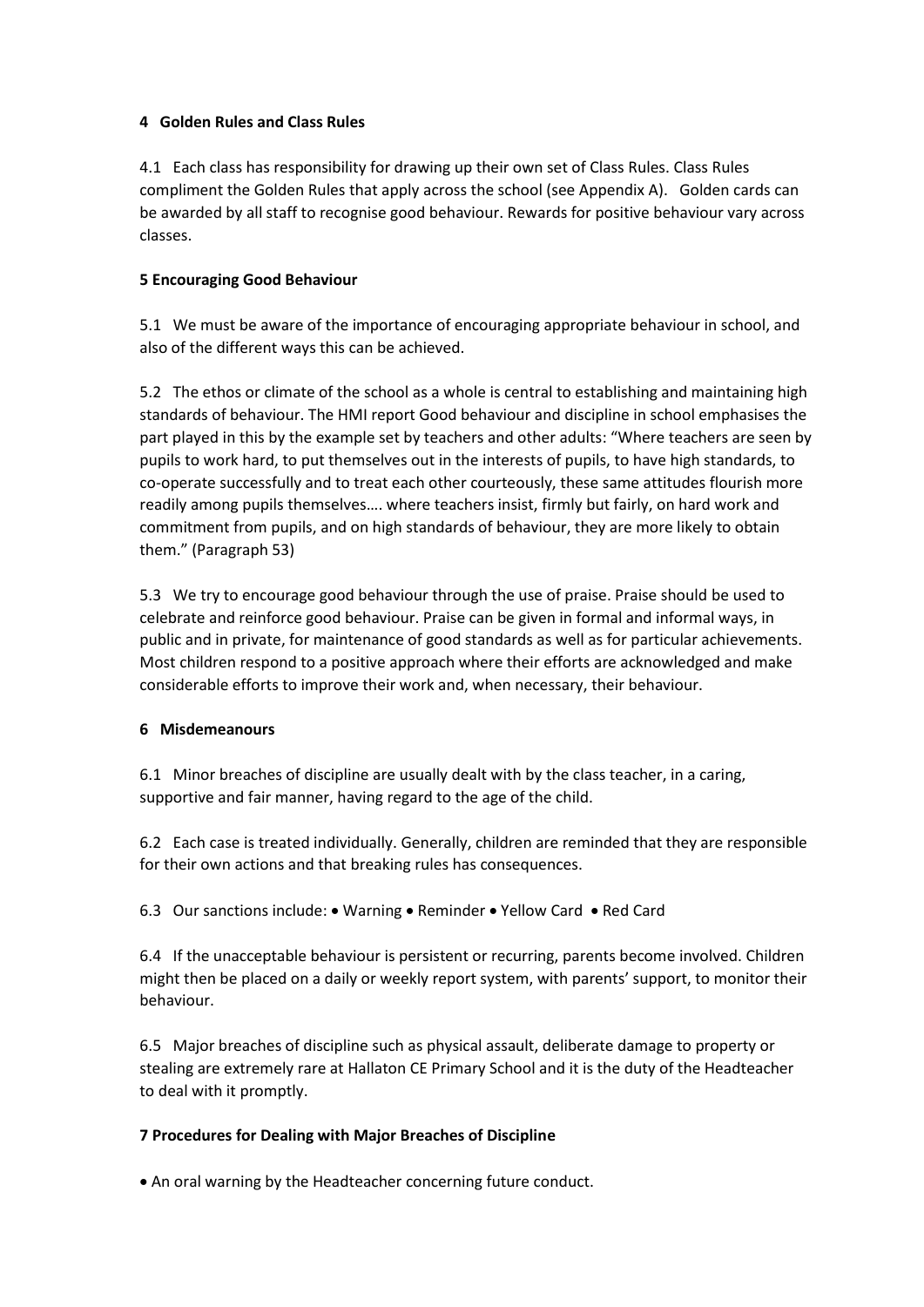## **4 Golden Rules and Class Rules**

4.1 Each class has responsibility for drawing up their own set of Class Rules. Class Rules compliment the Golden Rules that apply across the school (see Appendix A). Golden cards can be awarded by all staff to recognise good behaviour. Rewards for positive behaviour vary across classes.

## **5 Encouraging Good Behaviour**

5.1 We must be aware of the importance of encouraging appropriate behaviour in school, and also of the different ways this can be achieved.

5.2 The ethos or climate of the school as a whole is central to establishing and maintaining high standards of behaviour. The HMI report Good behaviour and discipline in school emphasises the part played in this by the example set by teachers and other adults: "Where teachers are seen by pupils to work hard, to put themselves out in the interests of pupils, to have high standards, to co-operate successfully and to treat each other courteously, these same attitudes flourish more readily among pupils themselves…. where teachers insist, firmly but fairly, on hard work and commitment from pupils, and on high standards of behaviour, they are more likely to obtain them." (Paragraph 53)

5.3 We try to encourage good behaviour through the use of praise. Praise should be used to celebrate and reinforce good behaviour. Praise can be given in formal and informal ways, in public and in private, for maintenance of good standards as well as for particular achievements. Most children respond to a positive approach where their efforts are acknowledged and make considerable efforts to improve their work and, when necessary, their behaviour.

# **6 Misdemeanours**

6.1 Minor breaches of discipline are usually dealt with by the class teacher, in a caring, supportive and fair manner, having regard to the age of the child.

6.2 Each case is treated individually. Generally, children are reminded that they are responsible for their own actions and that breaking rules has consequences.

6.3 Our sanctions include: • Warning • Reminder • Yellow Card • Red Card

6.4 If the unacceptable behaviour is persistent or recurring, parents become involved. Children might then be placed on a daily or weekly report system, with parents' support, to monitor their behaviour.

6.5 Major breaches of discipline such as physical assault, deliberate damage to property or stealing are extremely rare at Hallaton CE Primary School and it is the duty of the Headteacher to deal with it promptly.

# **7 Procedures for Dealing with Major Breaches of Discipline**

An oral warning by the Headteacher concerning future conduct.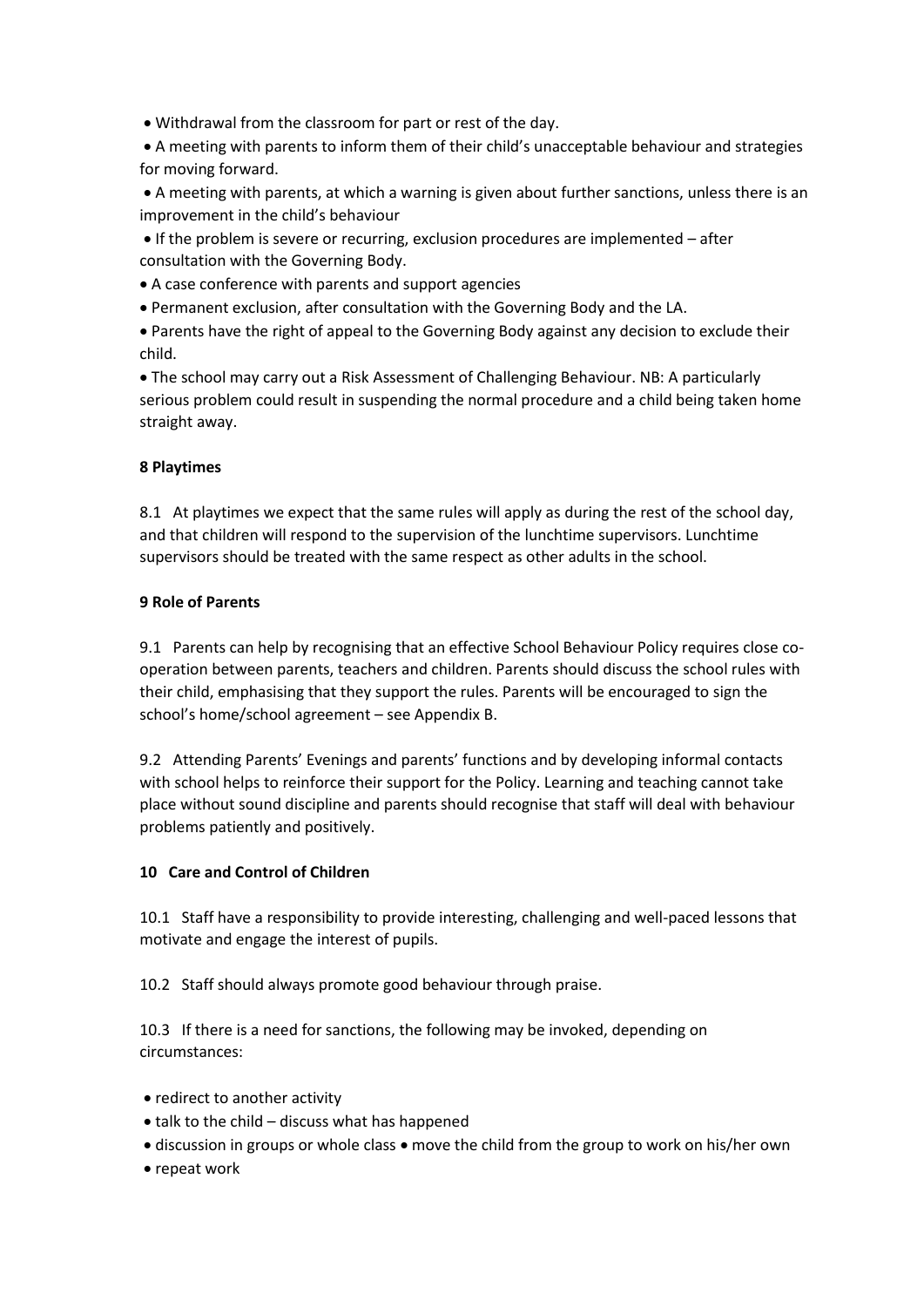Withdrawal from the classroom for part or rest of the day.

 A meeting with parents to inform them of their child's unacceptable behaviour and strategies for moving forward.

 A meeting with parents, at which a warning is given about further sanctions, unless there is an improvement in the child's behaviour

 If the problem is severe or recurring, exclusion procedures are implemented – after consultation with the Governing Body.

A case conference with parents and support agencies

Permanent exclusion, after consultation with the Governing Body and the LA.

 Parents have the right of appeal to the Governing Body against any decision to exclude their child.

 The school may carry out a Risk Assessment of Challenging Behaviour. NB: A particularly serious problem could result in suspending the normal procedure and a child being taken home straight away.

#### **8 Playtimes**

8.1 At playtimes we expect that the same rules will apply as during the rest of the school day, and that children will respond to the supervision of the lunchtime supervisors. Lunchtime supervisors should be treated with the same respect as other adults in the school.

#### **9 Role of Parents**

9.1 Parents can help by recognising that an effective School Behaviour Policy requires close cooperation between parents, teachers and children. Parents should discuss the school rules with their child, emphasising that they support the rules. Parents will be encouraged to sign the school's home/school agreement – see Appendix B.

9.2 Attending Parents' Evenings and parents' functions and by developing informal contacts with school helps to reinforce their support for the Policy. Learning and teaching cannot take place without sound discipline and parents should recognise that staff will deal with behaviour problems patiently and positively.

#### **10 Care and Control of Children**

10.1 Staff have a responsibility to provide interesting, challenging and well-paced lessons that motivate and engage the interest of pupils.

10.2 Staff should always promote good behaviour through praise.

10.3 If there is a need for sanctions, the following may be invoked, depending on circumstances:

- redirect to another activity
- $\bullet$  talk to the child discuss what has happened
- discussion in groups or whole class move the child from the group to work on his/her own
- repeat work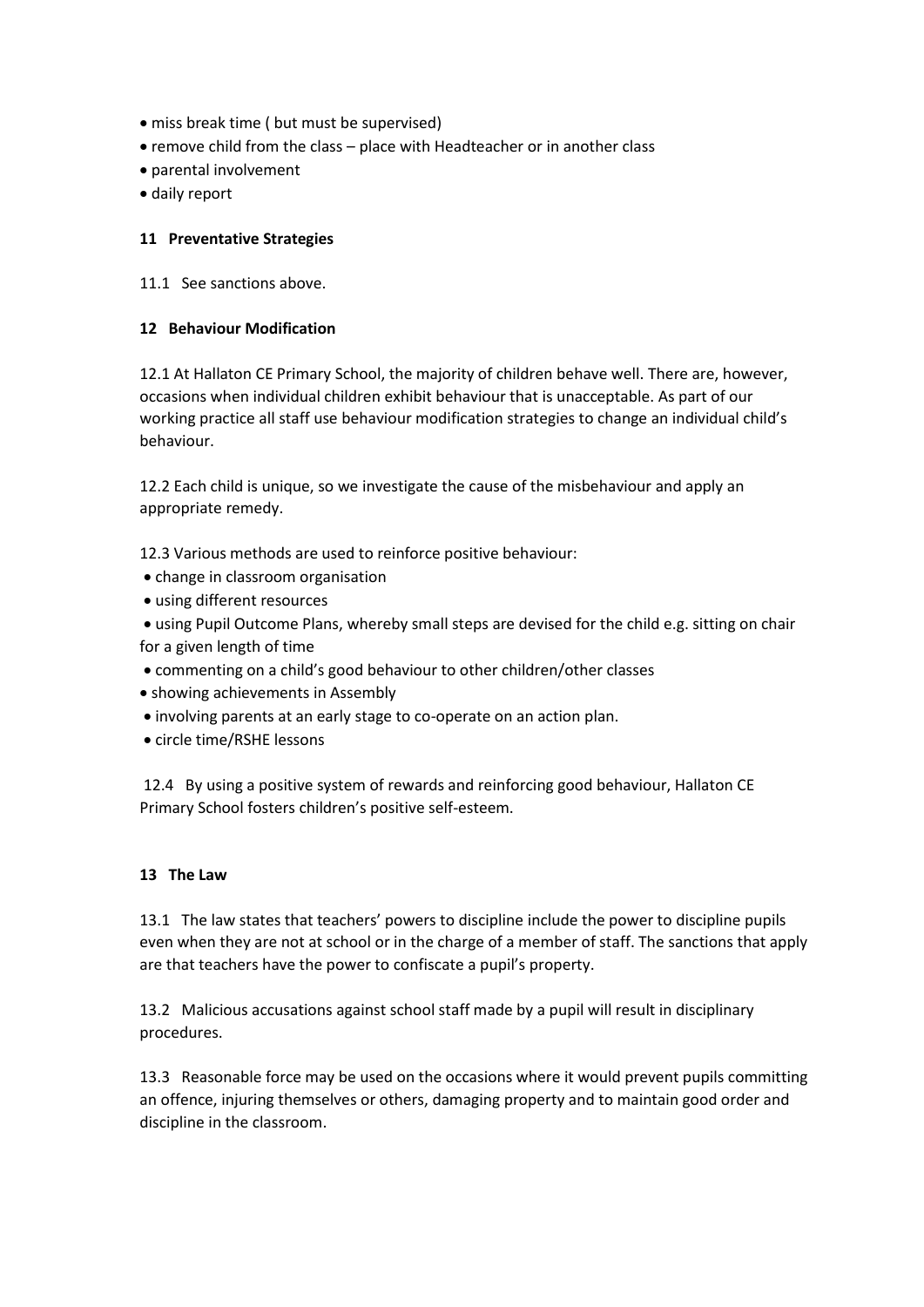- miss break time ( but must be supervised)
- remove child from the class place with Headteacher or in another class
- parental involvement
- daily report

#### **11 Preventative Strategies**

11.1 See sanctions above.

#### **12 Behaviour Modification**

12.1 At Hallaton CE Primary School, the majority of children behave well. There are, however, occasions when individual children exhibit behaviour that is unacceptable. As part of our working practice all staff use behaviour modification strategies to change an individual child's behaviour.

12.2 Each child is unique, so we investigate the cause of the misbehaviour and apply an appropriate remedy.

12.3 Various methods are used to reinforce positive behaviour:

- change in classroom organisation
- using different resources

 using Pupil Outcome Plans, whereby small steps are devised for the child e.g. sitting on chair for a given length of time

- commenting on a child's good behaviour to other children/other classes
- showing achievements in Assembly
- involving parents at an early stage to co-operate on an action plan.
- circle time/RSHE lessons

12.4 By using a positive system of rewards and reinforcing good behaviour, Hallaton CE Primary School fosters children's positive self-esteem.

#### **13 The Law**

13.1 The law states that teachers' powers to discipline include the power to discipline pupils even when they are not at school or in the charge of a member of staff. The sanctions that apply are that teachers have the power to confiscate a pupil's property.

13.2 Malicious accusations against school staff made by a pupil will result in disciplinary procedures.

13.3 Reasonable force may be used on the occasions where it would prevent pupils committing an offence, injuring themselves or others, damaging property and to maintain good order and discipline in the classroom.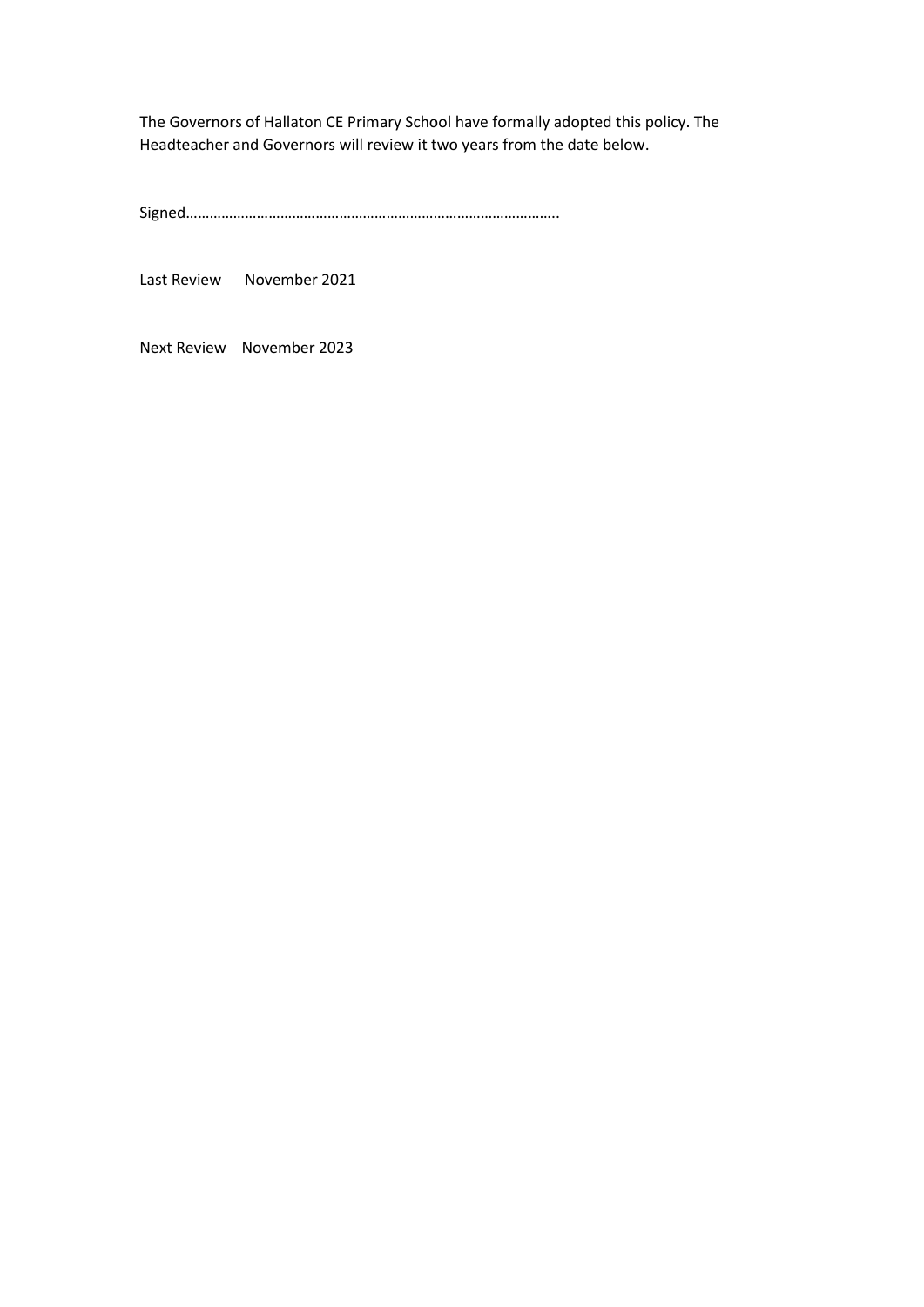The Governors of Hallaton CE Primary School have formally adopted this policy. The Headteacher and Governors will review it two years from the date below.

Signed…………………………………………………………………………………..

Last Review November 2021

Next Review November 2023